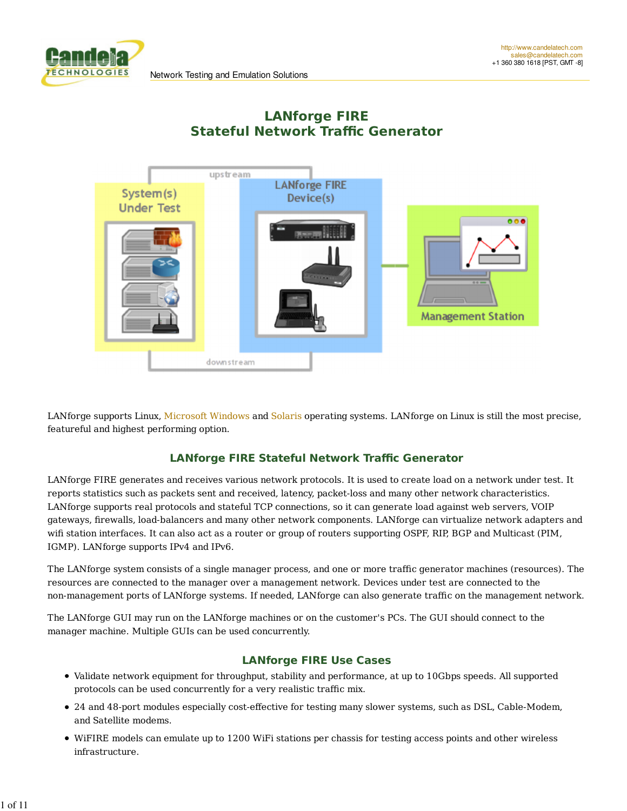**CHNOLOGIES** 





LANforge supports Linux, Microsoft Windows and Solaris operating systems. LANforge on Linux is still the most precise, featureful and highest performing option.

#### **LANforge FIRE Stateful Network Traffic Generator**

LANforge FIRE generates and receives various network protocols. It is used to create load on a network under test. It reports statistics such as packets sent and received, latency, packet-loss and many other network characteristics. LANforge supports real protocols and stateful TCP connections, so it can generate load against web servers, VOIP gateways, firewalls, load-balancers and many other network components. LANforge can virtualize network adapters and wifi station interfaces. It can also act as a router or group of routers supporting OSPF, RIP, BGP and Multicast (PIM, IGMP). LANforge supports IPv4 and IPv6.

The LANforge system consists of a single manager process, and one or more traffic generator machines (resources). The resources are connected to the manager over a management network. Devices under test are connected to the non-management ports of LANforge systems. If needed, LANforge can also generate traffic on the management network.

The LANforge GUI may run on the LANforge machines or on the customer's PCs. The GUI should connect to the manager machine. Multiple GUIs can be used concurrently.

#### **LANforge FIRE Use Cases**

- Validate network equipment for throughput, stability and performance, at up to 10Gbps speeds. All supported protocols can be used concurrently for a very realistic traffic mix.
- 24 and 48-port modules especially cost-effective for testing many slower systems, such as DSL, Cable-Modem, and Satellite modems.
- WiFIRE models can emulate up to 1200 WiFi stations per chassis for testing access points and other wireless infrastructure.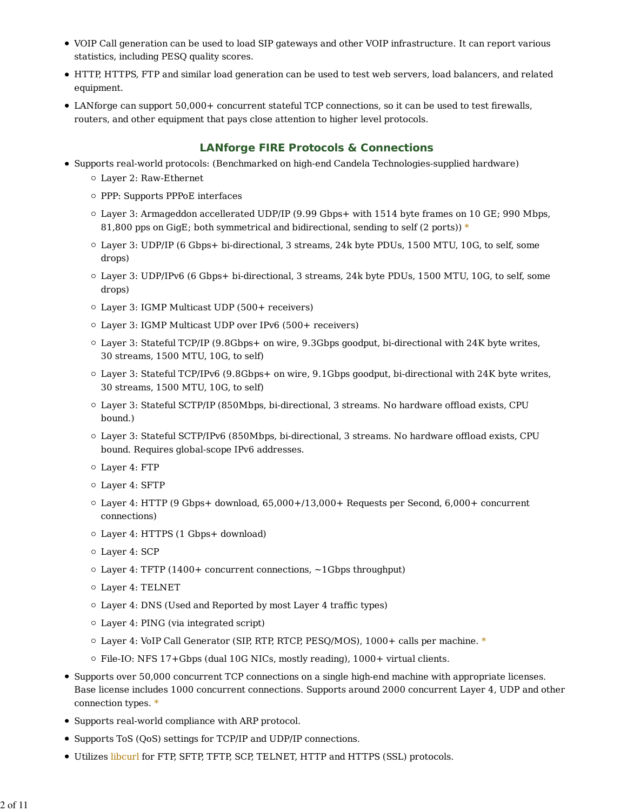- VOIP Call generation can be used to load SIP gateways and other VOIP infrastructure. It can report various statistics, including PESQ quality scores.
- HTTP, HTTPS, FTP and similar load generation can be used to test web servers, load balancers, and related equipment.
- LANforge can support 50,000+ concurrent stateful TCP connections, so it can be used to test firewalls, routers, and other equipment that pays close attention to higher level protocols.

### **LANforge FIRE Protocols & Connections**

- Supports real-world protocols: (Benchmarked on high-end Candela Technologies-supplied hardware) Layer 2: Raw-Ethernet
	- PPP: Supports PPPoE interfaces
	- Layer 3: Armageddon accellerated UDP/IP (9.99 Gbps+ with 1514 byte frames on 10 GE; 990 Mbps, 81,800 pps on GigE; both symmetrical and bidirectional, sending to self (2 ports))  $*$
	- Layer 3: UDP/IP (6 Gbps+ bi-directional, 3 streams, 24k byte PDUs, 1500 MTU, 10G, to self, some drops)
	- Layer 3: UDP/IPv6 (6 Gbps+ bi-directional, 3 streams, 24k byte PDUs, 1500 MTU, 10G, to self, some drops)
	- Layer 3: IGMP Multicast UDP (500+ receivers)
	- Layer 3: IGMP Multicast UDP over IPv6 (500+ receivers)
	- Layer 3: Stateful TCP/IP (9.8Gbps+ on wire, 9.3Gbps goodput, bi-directional with 24K byte writes, 30 streams, 1500 MTU, 10G, to self)
	- Layer 3: Stateful TCP/IPv6 (9.8Gbps+ on wire, 9.1Gbps goodput, bi-directional with 24K byte writes, 30 streams, 1500 MTU, 10G, to self)
	- Layer 3: Stateful SCTP/IP (850Mbps, bi-directional, 3 streams. No hardware offload exists, CPU bound.)
	- Layer 3: Stateful SCTP/IPv6 (850Mbps, bi-directional, 3 streams. No hardware offload exists, CPU bound. Requires global-scope IPv6 addresses.
	- Layer 4: FTP
	- Layer 4: SFTP
	- $\circ$  Layer 4: HTTP (9 Gbps+ download, 65,000+/13,000+ Requests per Second, 6,000+ concurrent connections)
	- Layer 4: HTTPS (1 Gbps+ download)
	- Layer 4: SCP
	- Layer 4: TFTP (1400+ concurrent connections, ~1Gbps throughput)
	- Layer 4: TELNET
	- Layer 4: DNS (Used and Reported by most Layer 4 traffic types)
	- Layer 4: PING (via integrated script)
	- Layer 4: VoIP Call Generator (SIP, RTP, RTCP, PESQ/MOS), 1000+ calls per machine. \*
	- $\circ$  File-IO: NFS 17+Gbps (dual 10G NICs, mostly reading), 1000+ virtual clients.
- Supports over 50,000 concurrent TCP connections on a single high-end machine with appropriate licenses. Base license includes 1000 concurrent connections. Supports around 2000 concurrent Layer 4, UDP and other connection types. \*
- Supports real-world compliance with ARP protocol.
- Supports ToS (QoS) settings for TCP/IP and UDP/IP connections.
- Utilizes libcurl for FTP, SFTP, TFTP, SCP, TELNET, HTTP and HTTPS (SSL) protocols.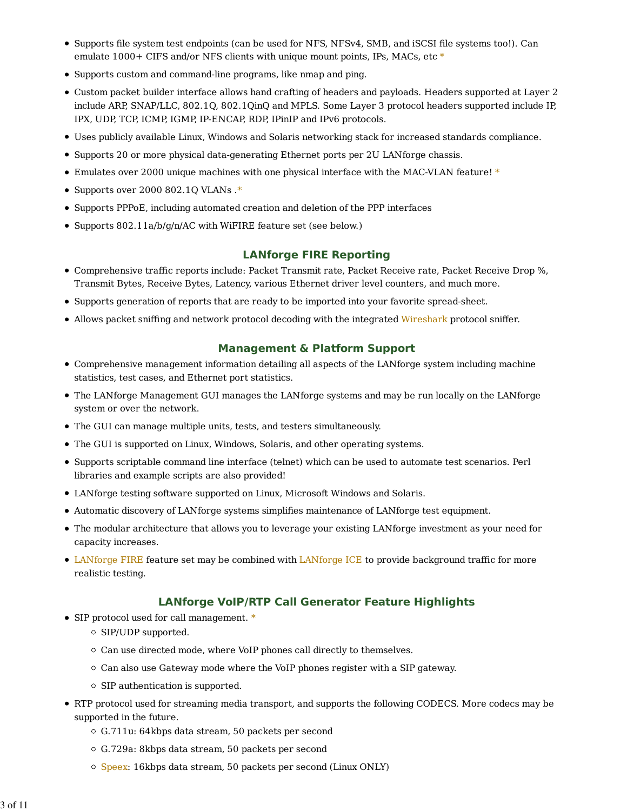- Supports file system test endpoints (can be used for NFS, NFSv4, SMB, and iSCSI file systems too!). Can emulate 1000+ CIFS and/or NFS clients with unique mount points, IPs, MACs, etc  $*$
- Supports custom and command-line programs, like nmap and ping.
- Custom packet builder interface allows hand crafting of headers and payloads. Headers supported at Layer 2 include ARP, SNAP/LLC, 802.1Q, 802.1QinQ and MPLS. Some Layer 3 protocol headers supported include IP, IPX, UDP, TCP, ICMP, IGMP, IP-ENCAP, RDP, IPinIP and IPv6 protocols.
- Uses publicly available Linux, Windows and Solaris networking stack for increased standards compliance.
- Supports 20 or more physical data-generating Ethernet ports per 2U LANforge chassis.
- Emulates over 2000 unique machines with one physical interface with the MAC-VLAN feature! \*
- Supports over 2000 802.1Q VLANs.\*
- Supports PPPoE, including automated creation and deletion of the PPP interfaces
- Supports 802.11a/b/g/n/AC with WiFIRE feature set (see below.)

#### **LANforge FIRE Reporting**

- Comprehensive traffic reports include: Packet Transmit rate, Packet Receive rate, Packet Receive Drop %, Transmit Bytes, Receive Bytes, Latency, various Ethernet driver level counters, and much more.
- Supports generation of reports that are ready to be imported into your favorite spread-sheet.
- Allows packet sniffing and network protocol decoding with the integrated Wireshark protocol sniffer.

#### **Management & Platform Support**

- Comprehensive management information detailing all aspects of the LANforge system including machine statistics, test cases, and Ethernet port statistics.
- The LANforge Management GUI manages the LANforge systems and may be run locally on the LANforge system or over the network.
- The GUI can manage multiple units, tests, and testers simultaneously.
- The GUI is supported on Linux, Windows, Solaris, and other operating systems.
- Supports scriptable command line interface (telnet) which can be used to automate test scenarios. Perl libraries and example scripts are also provided!
- LANforge testing software supported on Linux, Microsoft Windows and Solaris.
- Automatic discovery of LANforge systems simplifies maintenance of LANforge test equipment.
- The modular architecture that allows you to leverage your existing LANforge investment as your need for capacity increases.
- LANforge FIRE feature set may be combined with LANforge ICE to provide background traffic for more realistic testing.

#### **LANforge VoIP/RTP Call Generator Feature Highlights**

- SIP protocol used for call management. \*
	- $\circ$  SIP/UDP supported.
	- $\circ$  Can use directed mode, where VoIP phones call directly to themselves.
	- $\circ$  Can also use Gateway mode where the VoIP phones register with a SIP gateway.
	- $\circ$  SIP authentication is supported.
- RTP protocol used for streaming media transport, and supports the following CODECS. More codecs may be supported in the future.
	- G.711u: 64kbps data stream, 50 packets per second
	- G.729a: 8kbps data stream, 50 packets per second
	- $\circ$  Speex: 16kbps data stream, 50 packets per second (Linux ONLY)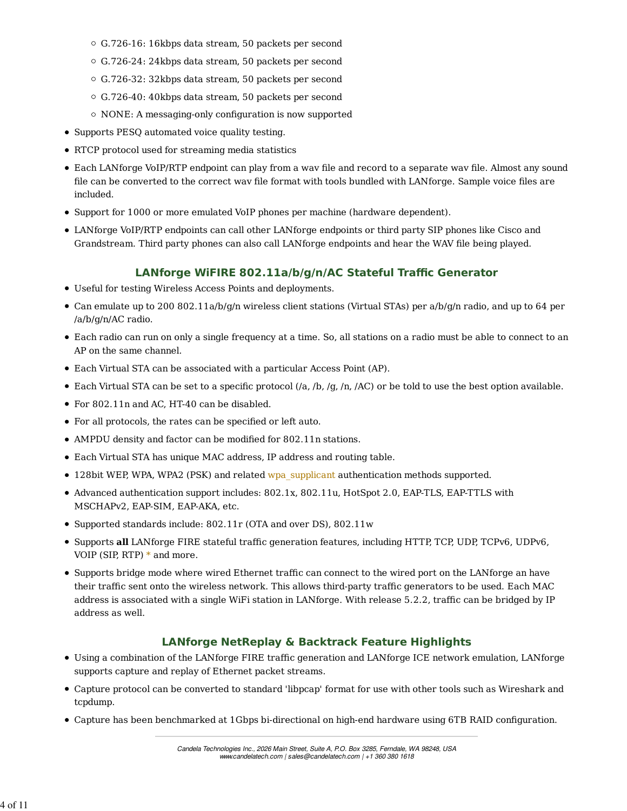- G.726-16: 16kbps data stream, 50 packets per second
- G.726-24: 24kbps data stream, 50 packets per second
- G.726-32: 32kbps data stream, 50 packets per second
- G.726-40: 40kbps data stream, 50 packets per second
- $\circ$  NONE: A messaging-only configuration is now supported
- Supports PESQ automated voice quality testing.
- RTCP protocol used for streaming media statistics
- Each LANforge VoIP/RTP endpoint can play from a wav file and record to a separate wav file. Almost any sound file can be converted to the correct wav file format with tools bundled with LANforge. Sample voice files are included.
- Support for 1000 or more emulated VoIP phones per machine (hardware dependent).
- LANforge VoIP/RTP endpoints can call other LANforge endpoints or third party SIP phones like Cisco and Grandstream. Third party phones can also call LANforge endpoints and hear the WAV file being played.

### **LANforge WiFIRE 802.11a/b/g/n/AC Stateful Traffic Generator**

- Useful for testing Wireless Access Points and deployments.
- Can emulate up to 200 802.11a/b/g/n wireless client stations (Virtual STAs) per a/b/g/n radio, and up to 64 per /a/b/g/n/AC radio.
- Each radio can run on only a single frequency at a time. So, all stations on a radio must be able to connect to an AP on the same channel.
- Each Virtual STA can be associated with a particular Access Point (AP).
- Each Virtual STA can be set to a specific protocol (/a, /b, /g, /n, /AC) or be told to use the best option available.
- For 802.11n and AC, HT-40 can be disabled.
- For all protocols, the rates can be specified or left auto.
- AMPDU density and factor can be modified for 802.11n stations.
- Each Virtual STA has unique MAC address, IP address and routing table.
- 128bit WEP, WPA, WPA2 (PSK) and related wpa\_supplicant authentication methods supported.
- Advanced authentication support includes: 802.1x, 802.11u, HotSpot 2.0, EAP-TLS, EAP-TTLS with MSCHAPv2, EAP-SIM, EAP-AKA, etc.
- Supported standards include: 802.11r (OTA and over DS), 802.11w
- Supports **all** LANforge FIRE stateful traffic generation features, including HTTP, TCP, UDP, TCPv6, UDPv6, VOIP (SIP, RTP)  $*$  and more.
- Supports bridge mode where wired Ethernet traffic can connect to the wired port on the LANforge an have their traffic sent onto the wireless network. This allows third-party traffic generators to be used. Each MAC address is associated with a single WiFi station in LANforge. With release 5.2.2, traffic can be bridged by IP address as well.

### **LANforge NetReplay & Backtrack Feature Highlights**

- Using a combination of the LANforge FIRE traffic generation and LANforge ICE network emulation, LANforge supports capture and replay of Ethernet packet streams.
- Capture protocol can be converted to standard 'libpcap' format for use with other tools such as Wireshark and tcpdump.
- Capture has been benchmarked at 1Gbps bi-directional on high-end hardware using 6TB RAID configuration.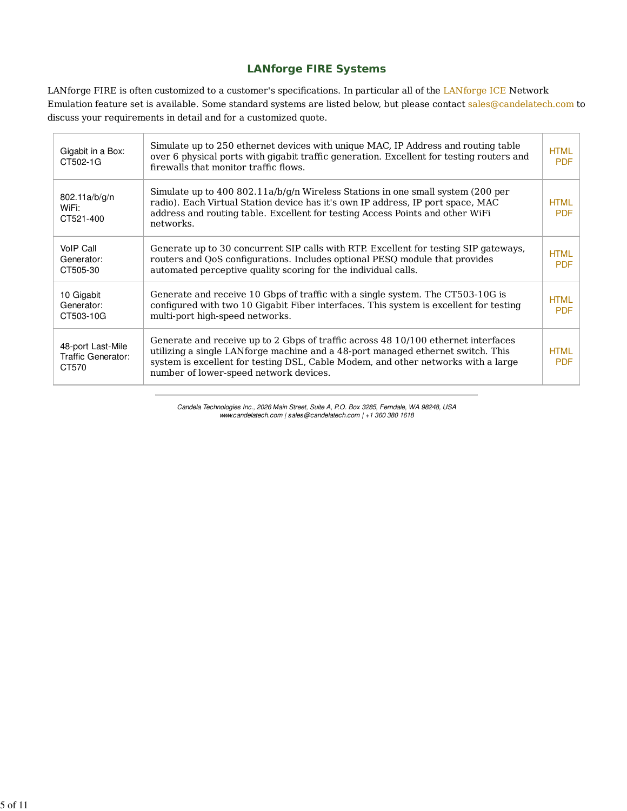### **LANforge FIRE Systems**

LANforge FIRE is often customized to a customer's specifications. In particular all of the LANforge ICE Network Emulation feature set is available. Some standard systems are listed below, but please contact sales@candelatech.com to discuss your requirements in detail and for a customized quote.

| Gigabit in a Box:<br>CT502-1G                    | Simulate up to 250 ethernet devices with unique MAC, IP Address and routing table<br>over 6 physical ports with gigabit traffic generation. Excellent for testing routers and<br>firewalls that monitor traffic flows.                                                                              | <b>HTML</b><br><b>PDF</b> |
|--------------------------------------------------|-----------------------------------------------------------------------------------------------------------------------------------------------------------------------------------------------------------------------------------------------------------------------------------------------------|---------------------------|
| 802.11a/b/g/n<br>WiFi:<br>CT521-400              | Simulate up to 400 802.11a/b/g/n Wireless Stations in one small system (200 per<br>radio). Each Virtual Station device has it's own IP address, IP port space, MAC<br>address and routing table. Excellent for testing Access Points and other WiFi<br>networks.                                    | <b>HTML</b><br><b>PDF</b> |
| VoIP Call<br>Generator:<br>CT505-30              | Generate up to 30 concurrent SIP calls with RTP. Excellent for testing SIP gateways,<br>routers and QoS configurations. Includes optional PESQ module that provides<br>automated perceptive quality scoring for the individual calls.                                                               | <b>HTML</b><br><b>PDF</b> |
| 10 Gigabit<br>Generator:<br>CT503-10G            | Generate and receive 10 Gbps of traffic with a single system. The CT503-10G is<br>configured with two 10 Gigabit Fiber interfaces. This system is excellent for testing<br>multi-port high-speed networks.                                                                                          | <b>HTML</b><br><b>PDF</b> |
| 48-port Last-Mile<br>Traffic Generator:<br>CT570 | Generate and receive up to 2 Gbps of traffic across 48 10/100 ethernet interfaces<br>utilizing a single LANforge machine and a 48-port managed ethernet switch. This<br>system is excellent for testing DSL, Cable Modem, and other networks with a large<br>number of lower-speed network devices. | <b>HTML</b><br><b>PDF</b> |

Candela Technologies Inc., 2026 Main Street, Suite A, P.O. Box 3285, Ferndale, WA 98248, USA www.candelatech.com | sales@candelatech.com | +1 360 380 1618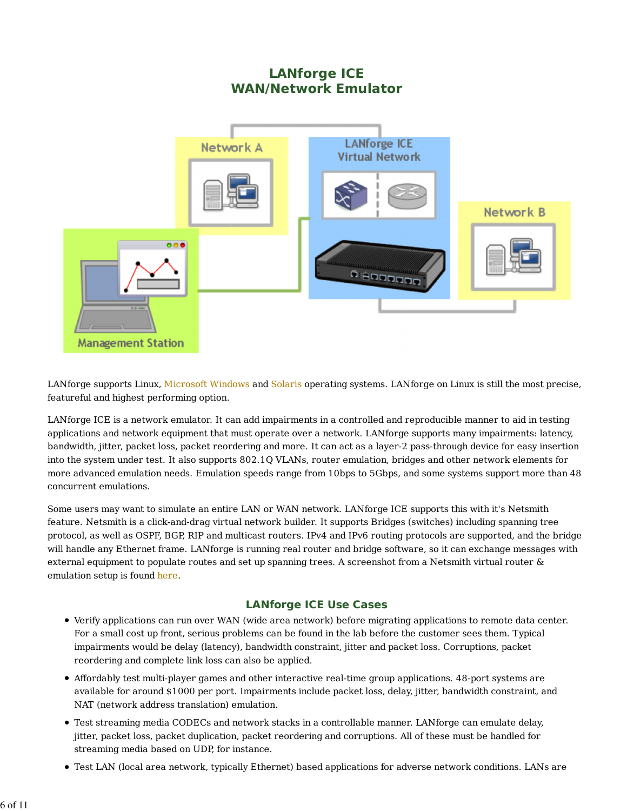# **LANforge ICE WAN/Network Emulator**



LANforge supports Linux, Microsoft Windows and Solaris operating systems. LANforge on Linux is still the most precise, featureful and highest performing option.

LANforge ICE is a network emulator. It can add impairments in a controlled and reproducible manner to aid in testing applications and network equipment that must operate over a network. LANforge supports many impairments: latency, bandwidth, jitter, packet loss, packet reordering and more. It can act as a layer-2 pass-through device for easy insertion into the system under test. It also supports 802.1Q VLANs, router emulation, bridges and other network elements for more advanced emulation needs. Emulation speeds range from 10bps to 5Gbps, and some systems support more than 48 concurrent emulations.

Some users may want to simulate an entire LAN or WAN network. LANforge ICE supports this with it's Netsmith feature. Netsmith is a click-and-drag virtual network builder. It supports Bridges (switches) including spanning tree protocol, as well as OSPF, BGP, RIP and multicast routers. IPv4 and IPv6 routing protocols are supported, and the bridge will handle any Ethernet frame. LANforge is running real router and bridge software, so it can exchange messages with external equipment to populate routes and set up spanning trees. A screenshot from a Netsmith virtual router & emulation setup is found here.

### **LANforge ICE Use Cases**

- Verify applications can run over WAN (wide area network) before migrating applications to remote data center. For a small cost up front, serious problems can be found in the lab before the customer sees them. Typical impairments would be delay (latency), bandwidth constraint, jitter and packet loss. Corruptions, packet reordering and complete link loss can also be applied.
- Affordably test multi-player games and other interactive real-time group applications. 48-port systems are available for around \$1000 per port. Impairments include packet loss, delay, jitter, bandwidth constraint, and NAT (network address translation) emulation.
- Test streaming media CODECs and network stacks in a controllable manner. LANforge can emulate delay, jitter, packet loss, packet duplication, packet reordering and corruptions. All of these must be handled for streaming media based on UDP, for instance.
- Test LAN (local area network, typically Ethernet) based applications for adverse network conditions. LANs are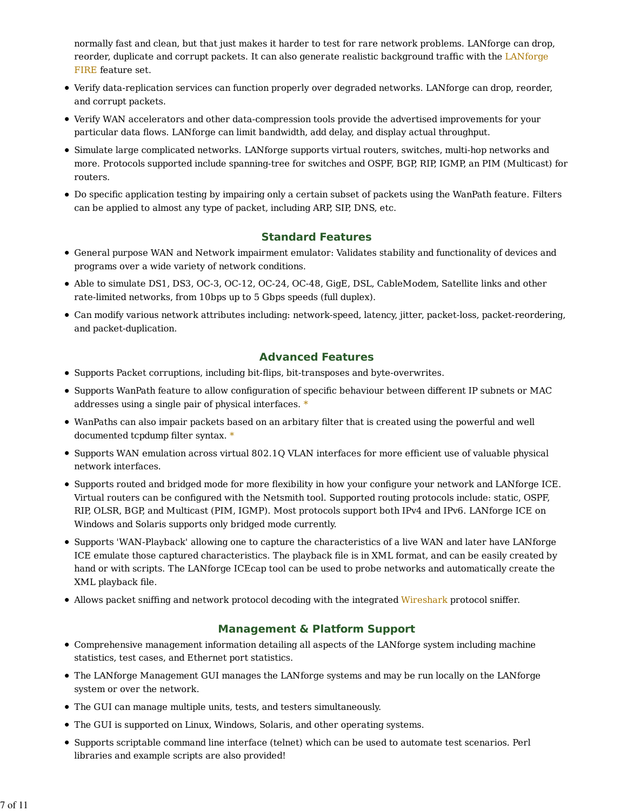normally fast and clean, but that just makes it harder to test for rare network problems. LANforge can drop, reorder, duplicate and corrupt packets. It can also generate realistic background traffic with the LANforge FIRE feature set.

- Verify data-replication services can function properly over degraded networks. LANforge can drop, reorder, and corrupt packets.
- Verify WAN accelerators and other data-compression tools provide the advertised improvements for your particular data flows. LANforge can limit bandwidth, add delay, and display actual throughput.
- Simulate large complicated networks. LANforge supports virtual routers, switches, multi-hop networks and more. Protocols supported include spanning-tree for switches and OSPF, BGP, RIP, IGMP, an PIM (Multicast) for routers.
- Do specific application testing by impairing only a certain subset of packets using the WanPath feature. Filters can be applied to almost any type of packet, including ARP, SIP, DNS, etc.

### **Standard Features**

- General purpose WAN and Network impairment emulator: Validates stability and functionality of devices and programs over a wide variety of network conditions.
- Able to simulate DS1, DS3, OC-3, OC-12, OC-24, OC-48, GigE, DSL, CableModem, Satellite links and other rate-limited networks, from 10bps up to 5 Gbps speeds (full duplex).
- Can modify various network attributes including: network-speed, latency, jitter, packet-loss, packet-reordering, and packet-duplication.

### **Advanced Features**

- Supports Packet corruptions, including bit-flips, bit-transposes and byte-overwrites.
- Supports WanPath feature to allow configuration of specific behaviour between different IP subnets or MAC addresses using a single pair of physical interfaces. \*
- WanPaths can also impair packets based on an arbitary filter that is created using the powerful and well documented tcpdump filter syntax. \*
- Supports WAN emulation across virtual 802.1Q VLAN interfaces for more efficient use of valuable physical network interfaces.
- Supports routed and bridged mode for more flexibility in how your configure your network and LANforge ICE. Virtual routers can be configured with the Netsmith tool. Supported routing protocols include: static, OSPF, RIP, OLSR, BGP, and Multicast (PIM, IGMP). Most protocols support both IPv4 and IPv6. LANforge ICE on Windows and Solaris supports only bridged mode currently.
- Supports 'WAN-Playback' allowing one to capture the characteristics of a live WAN and later have LANforge ICE emulate those captured characteristics. The playback file is in XML format, and can be easily created by hand or with scripts. The LANforge ICEcap tool can be used to probe networks and automatically create the XML playback file.
- Allows packet sniffing and network protocol decoding with the integrated Wireshark protocol sniffer.

### **Management & Platform Support**

- Comprehensive management information detailing all aspects of the LANforge system including machine statistics, test cases, and Ethernet port statistics.
- The LANforge Management GUI manages the LANforge systems and may be run locally on the LANforge system or over the network.
- The GUI can manage multiple units, tests, and testers simultaneously.
- The GUI is supported on Linux, Windows, Solaris, and other operating systems.
- Supports scriptable command line interface (telnet) which can be used to automate test scenarios. Perl libraries and example scripts are also provided!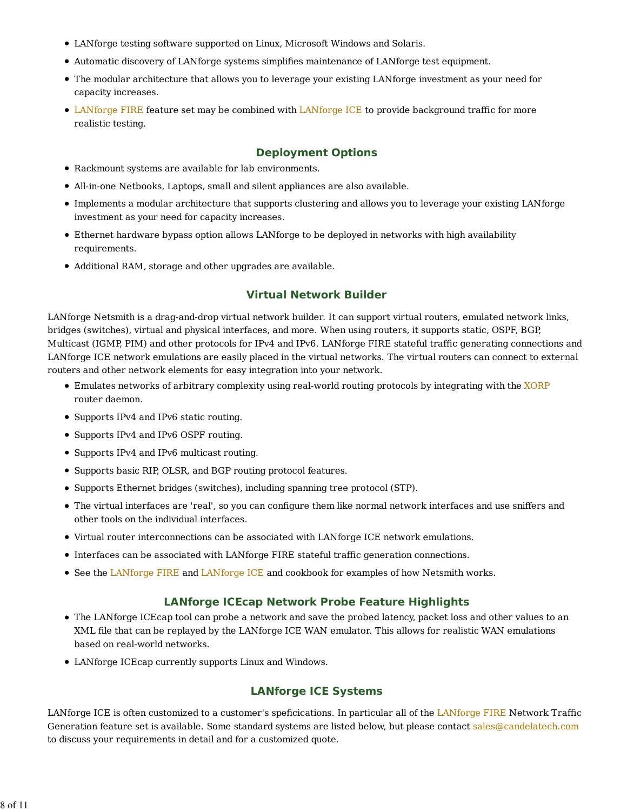- LANforge testing software supported on Linux, Microsoft Windows and Solaris.
- Automatic discovery of LANforge systems simplifies maintenance of LANforge test equipment.
- The modular architecture that allows you to leverage your existing LANforge investment as your need for capacity increases.
- LANforge FIRE feature set may be combined with LANforge ICE to provide background traffic for more realistic testing.

#### **Deployment Options**

- Rackmount systems are available for lab environments.
- All-in-one Netbooks, Laptops, small and silent appliances are also available.
- Implements a modular architecture that supports clustering and allows you to leverage your existing LANforge investment as your need for capacity increases.
- Ethernet hardware bypass option allows LANforge to be deployed in networks with high availability requirements.
- Additional RAM, storage and other upgrades are available.

#### **Virtual Network Builder**

LANforge Netsmith is a drag-and-drop virtual network builder. It can support virtual routers, emulated network links, bridges (switches), virtual and physical interfaces, and more. When using routers, it supports static, OSPF, BGP, Multicast (IGMP, PIM) and other protocols for IPv4 and IPv6. LANforge FIRE stateful traffic generating connections and LANforge ICE network emulations are easily placed in the virtual networks. The virtual routers can connect to external routers and other network elements for easy integration into your network.

- Emulates networks of arbitrary complexity using real-world routing protocols by integrating with the XORP router daemon.
- Supports IPv4 and IPv6 static routing.
- Supports IPv4 and IPv6 OSPF routing.
- Supports IPv4 and IPv6 multicast routing.
- Supports basic RIP, OLSR, and BGP routing protocol features.
- Supports Ethernet bridges (switches), including spanning tree protocol (STP).
- The virtual interfaces are 'real', so you can configure them like normal network interfaces and use sniffers and other tools on the individual interfaces.
- Virtual router interconnections can be associated with LANforge ICE network emulations.
- Interfaces can be associated with LANforge FIRE stateful traffic generation connections.
- See the LANforge FIRE and LANforge ICE and cookbook for examples of how Netsmith works.

#### **LANforge ICEcap Network Probe Feature Highlights**

- The LANforge ICEcap tool can probe a network and save the probed latency, packet loss and other values to an XML file that can be replayed by the LANforge ICE WAN emulator. This allows for realistic WAN emulations based on real-world networks.
- LANforge ICEcap currently supports Linux and Windows.

#### **LANforge ICE Systems**

LANforge ICE is often customized to a customer's speficications. In particular all of the LANforge FIRE Network Traffic Generation feature set is available. Some standard systems are listed below, but please contact sales@candelatech.com to discuss your requirements in detail and for a customized quote.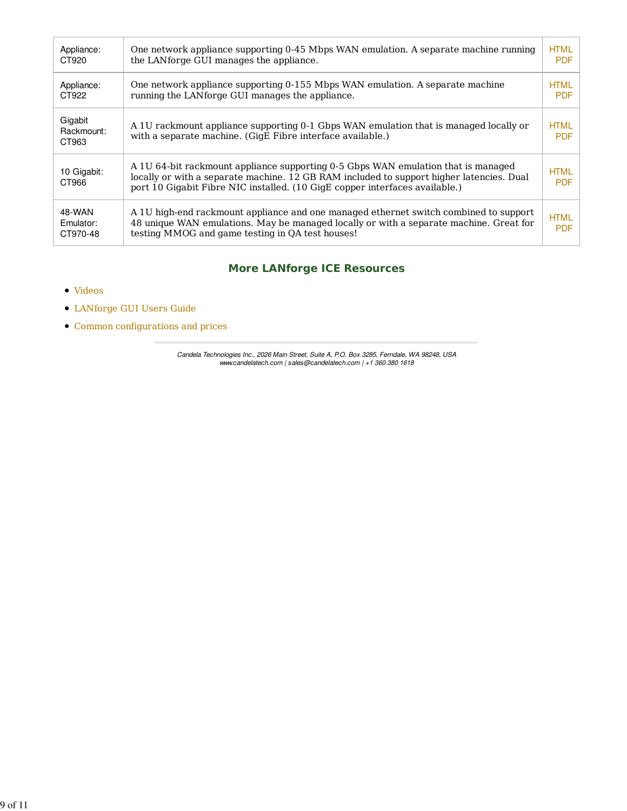| Appliance:<br>CT920             | One network appliance supporting 0-45 Mbps WAN emulation. A separate machine running<br>the LAN forge GUI manages the appliance.                                                                                                                             | <b>HTML</b><br><b>PDF</b> |
|---------------------------------|--------------------------------------------------------------------------------------------------------------------------------------------------------------------------------------------------------------------------------------------------------------|---------------------------|
| Appliance:<br>CT922             | One network appliance supporting 0-155 Mbps WAN emulation. A separate machine<br>running the LAN forge GUI manages the appliance.                                                                                                                            | <b>HTML</b><br><b>PDF</b> |
| Gigabit<br>Rackmount:<br>CT963  | A 1U rackmount appliance supporting 0-1 Gbps WAN emulation that is managed locally or<br>with a separate machine. (GigE Fibre interface available.)                                                                                                          | <b>HTML</b><br><b>PDF</b> |
| 10 Gigabit:<br>CT966            | A 1U 64-bit rackmount appliance supporting 0-5 Gbps WAN emulation that is managed<br>locally or with a separate machine. 12 GB RAM included to support higher latencies. Dual<br>port 10 Gigabit Fibre NIC installed. (10 GigE copper interfaces available.) | <b>HTML</b><br><b>PDF</b> |
| 48-WAN<br>Emulator:<br>CT970-48 | A 1U high-end rackmount appliance and one managed ethernet switch combined to support<br>48 unique WAN emulations. May be managed locally or with a separate machine. Great for<br>testing MMOG and game testing in QA test houses!                          | <b>HTML</b><br><b>PDF</b> |

## **More LANforge ICE Resources**

- Videos
- LANforge GUI Users Guide
- Common configurations and prices

Candela Technologies Inc., 2026 Main Street, Suite A, P.O. Box 3285, Ferndale, WA 98248, USA www.candelatech.com | sales@candelatech.com | +1 360 380 1618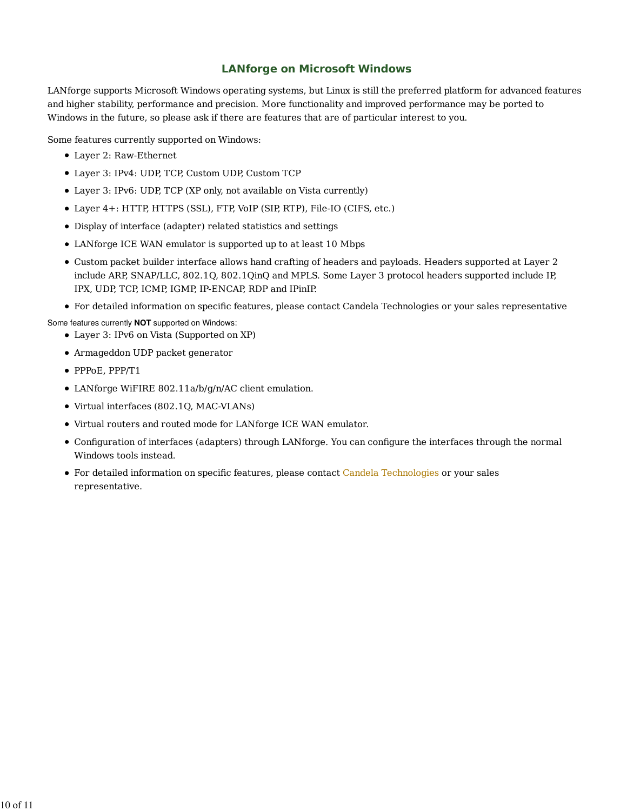### **LANforge on Microsoft Windows**

LANforge supports Microsoft Windows operating systems, but Linux is still the preferred platform for advanced features and higher stability, performance and precision. More functionality and improved performance may be ported to Windows in the future, so please ask if there are features that are of particular interest to you.

Some features currently supported on Windows:

- Layer 2: Raw-Ethernet
- Layer 3: IPv4: UDP, TCP, Custom UDP, Custom TCP
- Layer 3: IPv6: UDP, TCP (XP only, not available on Vista currently)
- Layer 4+: HTTP, HTTPS (SSL), FTP, VoIP (SIP, RTP), File-IO (CIFS, etc.)
- Display of interface (adapter) related statistics and settings
- LANforge ICE WAN emulator is supported up to at least 10 Mbps
- Custom packet builder interface allows hand crafting of headers and payloads. Headers supported at Layer 2 include ARP, SNAP/LLC, 802.1Q, 802.1QinQ and MPLS. Some Layer 3 protocol headers supported include IP, IPX, UDP, TCP, ICMP, IGMP, IP-ENCAP, RDP and IPinIP.
- For detailed information on specific features, please contact Candela Technologies or your sales representative

Some features currently **NOT** supported on Windows:

- Layer 3: IPv6 on Vista (Supported on XP)
- Armageddon UDP packet generator
- PPPoE, PPP/T1
- LANforge WiFIRE 802.11a/b/g/n/AC client emulation.
- Virtual interfaces (802.1Q, MAC-VLANs)
- Virtual routers and routed mode for LANforge ICE WAN emulator.
- Configuration of interfaces (adapters) through LANforge. You can configure the interfaces through the normal Windows tools instead.
- For detailed information on specific features, please contact Candela Technologies or your sales representative.